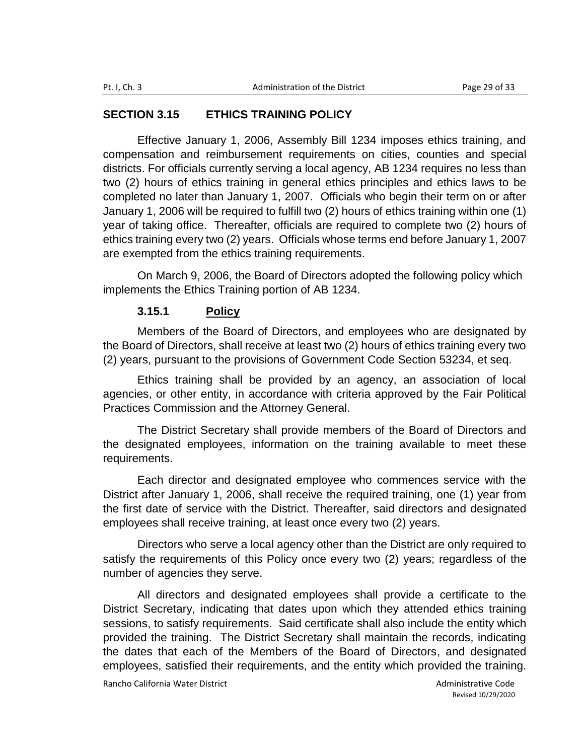## **SECTION 3.15 ETHICS TRAINING POLICY**

Effective January 1, 2006, Assembly Bill 1234 imposes ethics training, and compensation and reimbursement requirements on cities, counties and special districts. For officials currently serving a local agency, AB 1234 requires no less than two (2) hours of ethics training in general ethics principles and ethics laws to be completed no later than January 1, 2007. Officials who begin their term on or after January 1, 2006 will be required to fulfill two (2) hours of ethics training within one (1) year of taking office. Thereafter, officials are required to complete two (2) hours of ethics training every two (2) years. Officials whose terms end before January 1, 2007 are exempted from the ethics training requirements.

On March 9, 2006, the Board of Directors adopted the following policy which implements the Ethics Training portion of AB 1234.

## **3.15.1 Policy**

Members of the Board of Directors, and employees who are designated by the Board of Directors, shall receive at least two (2) hours of ethics training every two (2) years, pursuant to the provisions of Government Code Section 53234, et seq.

Ethics training shall be provided by an agency, an association of local agencies, or other entity, in accordance with criteria approved by the Fair Political Practices Commission and the Attorney General.

The District Secretary shall provide members of the Board of Directors and the designated employees, information on the training available to meet these requirements.

Each director and designated employee who commences service with the District after January 1, 2006, shall receive the required training, one (1) year from the first date of service with the District. Thereafter, said directors and designated employees shall receive training, at least once every two (2) years.

Directors who serve a local agency other than the District are only required to satisfy the requirements of this Policy once every two (2) years; regardless of the number of agencies they serve.

All directors and designated employees shall provide a certificate to the District Secretary, indicating that dates upon which they attended ethics training sessions, to satisfy requirements. Said certificate shall also include the entity which provided the training. The District Secretary shall maintain the records, indicating the dates that each of the Members of the Board of Directors, and designated employees, satisfied their requirements, and the entity which provided the training.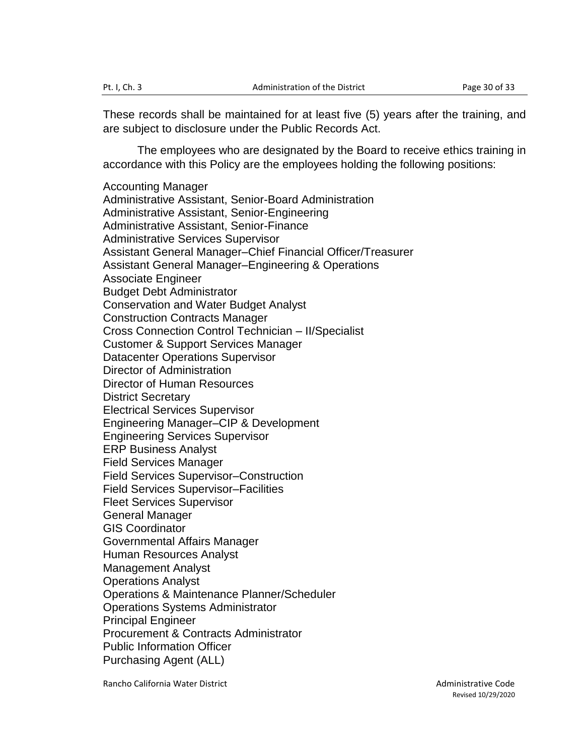These records shall be maintained for at least five (5) years after the training, and are subject to disclosure under the Public Records Act.

The employees who are designated by the Board to receive ethics training in accordance with this Policy are the employees holding the following positions:

Accounting Manager Administrative Assistant, Senior-Board Administration Administrative Assistant, Senior-Engineering Administrative Assistant, Senior-Finance Administrative Services Supervisor Assistant General Manager–Chief Financial Officer/Treasurer Assistant General Manager–Engineering & Operations Associate Engineer Budget Debt Administrator Conservation and Water Budget Analyst Construction Contracts Manager Cross Connection Control Technician – II/Specialist Customer & Support Services Manager Datacenter Operations Supervisor Director of Administration Director of Human Resources District Secretary Electrical Services Supervisor Engineering Manager–CIP & Development Engineering Services Supervisor ERP Business Analyst Field Services Manager Field Services Supervisor–Construction Field Services Supervisor–Facilities Fleet Services Supervisor General Manager GIS Coordinator Governmental Affairs Manager Human Resources Analyst Management Analyst Operations Analyst Operations & Maintenance Planner/Scheduler Operations Systems Administrator Principal Engineer Procurement & Contracts Administrator Public Information Officer Purchasing Agent (ALL)

Rancho California Water District **Administrative Code Administrative Code**